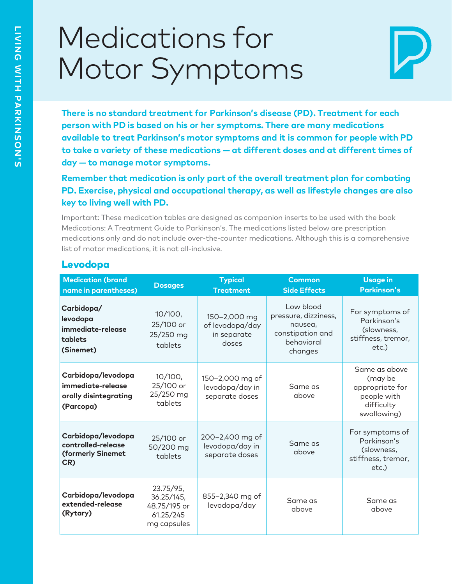# Medications for Motor Symptoms



There is no standard treatment for Parkinson's disease (PD). Treatment for each<br>person with PD is based on his or her symptoms. There are many medications<br>available to treat Parkinson's motor symptoms and it is common for

Important: These medication tables are designed as companion inserts to be used with the book<br>Medications: A Treatment Guide to Parkinson's. The medications listed below are prescription<br>medications only and do not include

#### Levodopa

| <b>Medication (brand</b><br>name in parentheses)                              | <b>Dosages</b>                                                      | <b>Typical</b><br><b>Treatment</b>                      | <b>Common</b><br><b>Side Effects</b>                                                      | <b>Usage in</b><br><b>Parkinson's</b>                                                   |
|-------------------------------------------------------------------------------|---------------------------------------------------------------------|---------------------------------------------------------|-------------------------------------------------------------------------------------------|-----------------------------------------------------------------------------------------|
| Carbidopa/<br>levodopa<br>immediate-release<br>tablets<br>(Sinemet)           | $10/100$ ,<br>25/100 or<br>25/250 mg<br>tablets                     | 150-2,000 mg<br>of levodopa/day<br>in separate<br>doses | Low blood<br>pressure, dizziness,<br>nausea,<br>constipation and<br>behavioral<br>changes | For symptoms of<br>Parkinson's<br>(slowness,<br>stiffness, tremor,<br>etc.)             |
| Carbidopa/levodopa<br>immediate-release<br>orally disintegrating<br>(Parcopa) | $10/100$ ,<br>25/100 or<br>25/250 mg<br>tablets                     | 150-2,000 mg of<br>levodopa/day in<br>separate doses    | Same as<br>above                                                                          | Same as above<br>(may be<br>appropriate for<br>people with<br>difficulty<br>swallowing) |
| Carbidopa/levodopa<br>controlled-release<br>(formerly Sinemet<br>CR)          | 25/100 or<br>50/200 mg<br>tablets                                   | 200-2,400 mg of<br>levodopa/day in<br>separate doses    | Same as<br>above                                                                          | For symptoms of<br>Parkinson's<br>(slowness,<br>stiffness, tremor,<br>etc.)             |
| Carbidopa/levodopa<br>extended-release<br>(Rytary)                            | 23.75/95,<br>36.25/145,<br>48.75/195 or<br>61.25/245<br>mg capsules | 855-2,340 mg of<br>levodopa/day                         | Same as<br>above                                                                          | Same as<br>above                                                                        |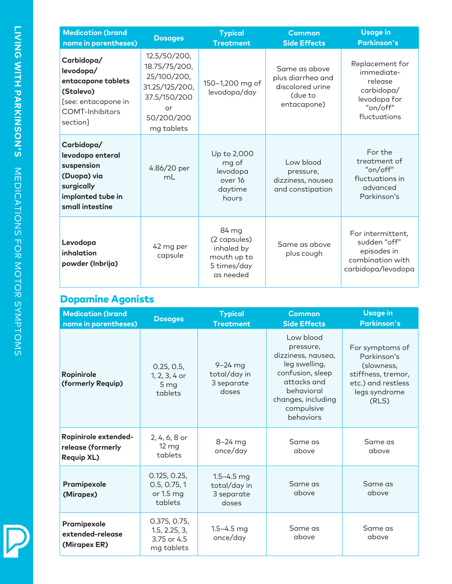| <b>Medication (brand</b><br>name in parentheses)                                                                        | <b>Dosages</b>                                                                                                   | <b>Typical</b><br><b>Treatment</b>                                             | <b>Common</b><br><b>Side Effects</b>                                             | <b>Usage in</b><br><b>Parkinson's</b>                                                              |  |
|-------------------------------------------------------------------------------------------------------------------------|------------------------------------------------------------------------------------------------------------------|--------------------------------------------------------------------------------|----------------------------------------------------------------------------------|----------------------------------------------------------------------------------------------------|--|
| Carbidopa/<br>levodopa/<br>entacapone tablets<br>(Stalevo)<br>[see: entacapone in<br><b>COMT-Inhibitors</b><br>section] | 12.5/50/200,<br>18.75/75/200,<br>25/100/200,<br>31.25/125/200,<br>37.5/150/200<br>or<br>50/200/200<br>mg tablets | 150-1,200 mg of<br>levodopa/day                                                | Same as above<br>plus diarrhea and<br>discolored urine<br>(due to<br>entacapone) | Replacement for<br>immediate-<br>release<br>carbidopa/<br>levodopa for<br>"on/off"<br>fluctuations |  |
| Carbidopa/<br>levodopa enteral<br>suspension<br>(Duopa) via<br>surgically<br>implanted tube in<br>small intestine       | 4.86/20 per<br>mL                                                                                                | Up to 2,000<br>mg of<br>levodopa<br>over 16<br>daytime<br>hours                | Low blood<br>pressure,<br>dizziness, nausea<br>and constipation                  | For the<br>treatment of<br>"on/off"<br>fluctuations in<br>advanced<br>Parkinson's                  |  |
| Levodopa<br>inhalation<br>powder (Inbrija)                                                                              | 42 mg per<br>capsule                                                                                             | 84 mg<br>(2 capsules)<br>inhaled by<br>mouth up to<br>5 times/day<br>as needed | Same as above<br>plus cough                                                      | For intermittent,<br>sudden "off"<br>episodes in<br>combination with<br>carbidopa/levodopa         |  |

#### Dopamine Agonists

| <b>Medication (brand</b><br>name in parentheses)               | <b>Dosages</b>                                             | <b>Typical</b><br><b>Treatment</b>                    | <b>Common</b><br><b>Side Effects</b>                                                                                                                            | <b>Usage in</b><br><b>Parkinson's</b>                                                                              |
|----------------------------------------------------------------|------------------------------------------------------------|-------------------------------------------------------|-----------------------------------------------------------------------------------------------------------------------------------------------------------------|--------------------------------------------------------------------------------------------------------------------|
| <b>Ropinirole</b><br>(formerly Requip)                         | 0.25, 0.5,<br>1, 2, 3, 4 or<br>5 <sub>mg</sub><br>tablets  | $9 - 24$ mg<br>total/day in<br>3 separate<br>doses    | Low blood<br>pressure,<br>dizziness, nausea,<br>leg swelling,<br>confusion, sleep<br>attacks and<br>behavioral<br>changes, including<br>compulsive<br>behaviors | For symptoms of<br>Parkinson's<br>(slowness,<br>stiffness, tremor,<br>etc.) and restless<br>legs syndrome<br>(RLS) |
| Ropinirole extended-<br>release (formerly<br><b>Requip XL)</b> | 2, 4, 6, 8 or<br>$12 \, mg$<br>tablets                     | $8 - 24$ mg<br>once/day                               | Same as<br>above                                                                                                                                                | Same as<br>above                                                                                                   |
| Pramipexole<br>(Mirapex)                                       | 0.125, 0.25,<br>0.5, 0.75, 1<br>or 1.5 mg<br>tablets       | $1.5 - 4.5$ mg<br>total/day in<br>3 separate<br>doses | Same as<br>above                                                                                                                                                | Same as<br>above                                                                                                   |
| Pramipexole<br>extended-release<br>(Mirapex ER)                | 0.375, 0.75,<br>1.5, 2.25, 3,<br>3.75 or 4.5<br>mg tablets | $1.5 - 4.5$ mg<br>once/day                            | Same as<br>above                                                                                                                                                | Same as<br>above                                                                                                   |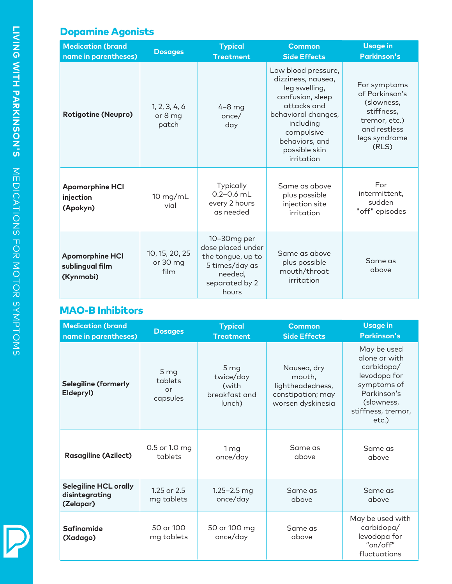# Dopamine Agonists

| <b>Medication (brand</b><br>name in parentheses)       | <b>Dosages</b>                     | <b>Typical</b><br><b>Treatment</b> | <b>Common</b><br><b>Side Effects</b>                                                                                                                                                             | <b>Usage in</b><br><b>Parkinson's</b>                                                                                 |  |
|--------------------------------------------------------|------------------------------------|------------------------------------|--------------------------------------------------------------------------------------------------------------------------------------------------------------------------------------------------|-----------------------------------------------------------------------------------------------------------------------|--|
| <b>Rotigotine (Neupro)</b>                             | 1, 2, 3, 4, 6<br>or 8 mg<br>patch  | $4-8$ mg<br>once/<br>day           | Low blood pressure,<br>dizziness, nausea,<br>leg swelling,<br>confusion, sleep<br>attacks and<br>behavioral changes,<br>including<br>compulsive<br>behaviors, and<br>possible skin<br>irritation | For symptoms<br>of Parkinson's<br>(slowness,<br>stiffness,<br>tremor, etc.)<br>and restless<br>legs syndrome<br>(RLS) |  |
| <b>Apomorphine HCI</b><br>injection<br>(Apokyn)        | 10 mg/mL<br>vial                   |                                    | Same as above<br>plus possible<br>injection site<br>irritation                                                                                                                                   | For<br>intermittent,<br>sudden<br>"off" episodes                                                                      |  |
| <b>Apomorphine HCI</b><br>sublingual film<br>(Kynmobi) | 10, 15, 20, 25<br>or 30 mg<br>film |                                    | Same as above<br>plus possible<br>mouth/throat<br>irritation                                                                                                                                     | Same as<br>above                                                                                                      |  |

#### MAO-B Inhibitors

| <b>Medication (brand</b><br>name in parentheses)            | <b>Dosages</b>                    | <b>Typical</b><br><b>Treatment</b>                               | <b>Common</b><br><b>Side Effects</b>                                                | <b>Usage in</b><br><b>Parkinson's</b>                                                                                                    |
|-------------------------------------------------------------|-----------------------------------|------------------------------------------------------------------|-------------------------------------------------------------------------------------|------------------------------------------------------------------------------------------------------------------------------------------|
| <b>Selegiline (formerly</b><br>Eldepryl)                    | 5 mg<br>tablets<br>or<br>capsules | 5 <sub>mg</sub><br>twice/day<br>(with<br>breakfast and<br>lunch) | Nausea, dry<br>mouth,<br>lightheadedness,<br>constipation; may<br>worsen dyskinesia | May be used<br>glone or with<br>carbidopa/<br>levodopa for<br>symptoms of<br>Parkinson's<br>(slowness,<br>stiffness, tremor,<br>$etc.$ ) |
| <b>Rasagiline (Azilect)</b>                                 | 0.5 or 1.0 mg<br>tablets          | 1 <sub>mg</sub><br>once/day                                      | Same as<br>above                                                                    | Same as<br>above                                                                                                                         |
| <b>Selegiline HCL orally</b><br>disintegrating<br>(Zelapar) | $1.25$ or $2.5$<br>mg tablets     | $1.25 - 2.5$ mg<br>once/day                                      | Same as<br>above                                                                    | Same as<br>above                                                                                                                         |
| <b>Safinamide</b><br>(Xadago)                               | 50 or 100<br>mg tablets           | 50 or 100 mg<br>once/day                                         | Same as<br>above                                                                    | May be used with<br>carbidopa/<br>levodopa for<br>"on/off"<br>fluctuations                                                               |

P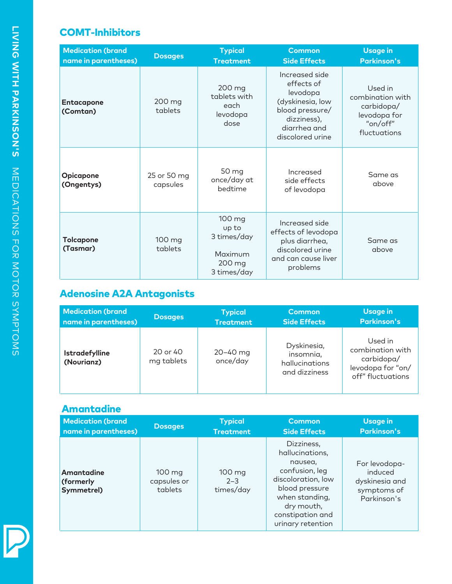#### COMT-Inhibitors

| <b>Medication (brand</b><br>name in parentheses) | <b>Dosages</b>          | <b>Typical</b><br><b>Treatment</b>                                 | <b>Common</b><br><b>Side Effects</b>                                                                                               | <b>Usage in</b><br><b>Parkinson's</b>                                                 |
|--------------------------------------------------|-------------------------|--------------------------------------------------------------------|------------------------------------------------------------------------------------------------------------------------------------|---------------------------------------------------------------------------------------|
| Entacapone<br>(Comtan)                           | 200 mg<br>tablets       | 200 mg<br>tablets with<br>each<br>levodopa<br>dose                 | Increased side<br>effects of<br>levodopa<br>(dyskinesia, low<br>blood pressure/<br>dizziness),<br>diarrhea and<br>discolored urine | Used in<br>combination with<br>carbidopa/<br>levodopa for<br>"on/off"<br>fluctuations |
| <b>Opicapone</b><br>(Ongentys)                   | 25 or 50 mg<br>capsules | 50 mg<br>once/day at<br>bedtime                                    | Increased<br>side effects<br>of levodopa                                                                                           | Same as<br>above                                                                      |
| <b>Tolcapone</b><br>(Tasmar)                     | 100 mg<br>tablets       | 100 mg<br>up to<br>3 times/day<br>Maximum<br>200 mg<br>3 times/day | Increased side<br>effects of levodopa<br>plus diarrhea,<br>discolored urine<br>and can cause liver<br>problems                     | Same as<br>above                                                                      |

## Adenosine A2A Antagonists

| <b>Medication (brand</b>            | <b>Dosages</b>         | <b>Typical</b>           | <b>Common</b>                                               | <b>Usage in</b>                                                                     |
|-------------------------------------|------------------------|--------------------------|-------------------------------------------------------------|-------------------------------------------------------------------------------------|
| name in parentheses)                |                        | <b>Treatment</b>         | <b>Side Effects</b>                                         | <b>Parkinson's</b>                                                                  |
| <b>Istradefylline</b><br>(Nourianz) | 20 or 40<br>mg tablets | $20 - 40$ mg<br>once/day | Dyskinesia,<br>insomnia,<br>hallucinations<br>and dizziness | Used in<br>combination with<br>carbidopa/<br>levodopa for "on/<br>off" fluctuations |

### Amantadine

| <b>Medication (brand</b>              | <b>Dosages</b>                             | <b>Typical</b>                 | <b>Common</b>                                                                                                                                                               | <b>Usage in</b>                                                          |
|---------------------------------------|--------------------------------------------|--------------------------------|-----------------------------------------------------------------------------------------------------------------------------------------------------------------------------|--------------------------------------------------------------------------|
| name in parentheses)                  |                                            | <b>Treatment</b>               | <b>Side Effects</b>                                                                                                                                                         | <b>Parkinson's</b>                                                       |
| Amantadine<br>(formerly<br>Symmetrel) | $100 \text{ mg}$<br>capsules or<br>tablets | 100 mg<br>$2 - 3$<br>times/day | Dizziness,<br>hallucinations,<br>nausea,<br>confusion, leg<br>discoloration, low<br>blood pressure<br>when standing,<br>dry mouth,<br>constipation and<br>urinary retention | For levodopa-<br>induced<br>dyskinesia and<br>symptoms of<br>Parkinson's |